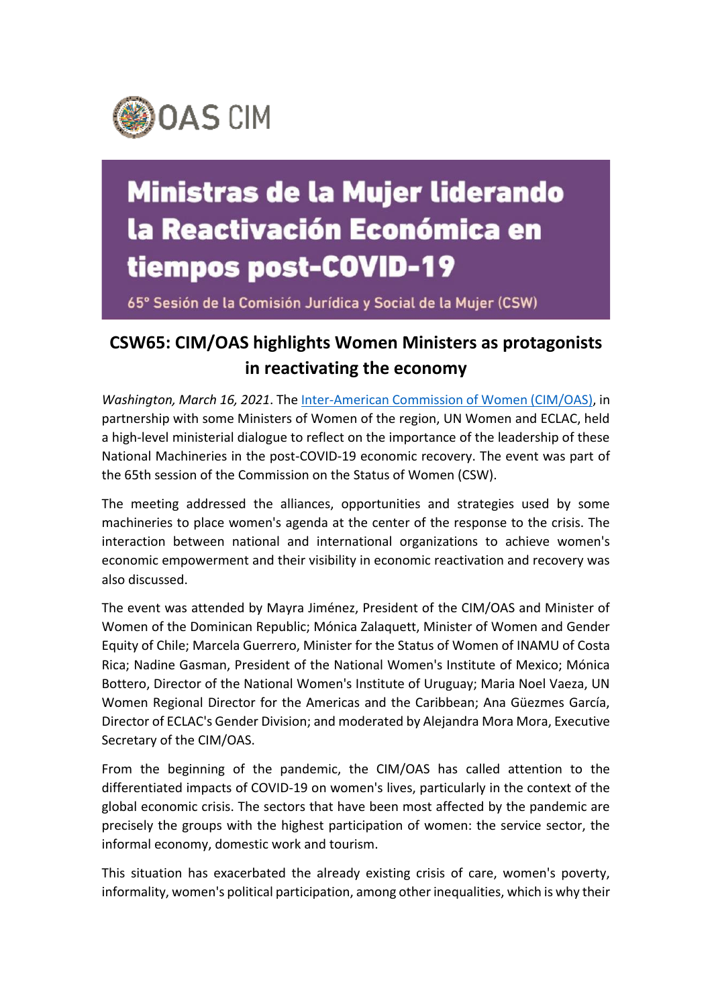

## **Ministras de la Mujer liderando** la Reactivación Económica en tiempos post-COVID-19

65° Sesión de la Comisión Jurídica y Social de la Mujer (CSW)

## **CSW65: CIM/OAS highlights Women Ministers as protagonists in reactivating the economy**

*Washington, March 16, 2021*. The [Inter-American Commission of Women \(CIM/OAS\),](http://www.oas.org/en/cim/default.asp) in partnership with some Ministers of Women of the region, UN Women and ECLAC, held a high-level ministerial dialogue to reflect on the importance of the leadership of these National Machineries in the post-COVID-19 economic recovery. The event was part of the 65th session of the Commission on the Status of Women (CSW).

The meeting addressed the alliances, opportunities and strategies used by some machineries to place women's agenda at the center of the response to the crisis. The interaction between national and international organizations to achieve women's economic empowerment and their visibility in economic reactivation and recovery was also discussed.

The event was attended by Mayra Jiménez, President of the CIM/OAS and Minister of Women of the Dominican Republic; Mónica Zalaquett, Minister of Women and Gender Equity of Chile; Marcela Guerrero, Minister for the Status of Women of INAMU of Costa Rica; Nadine Gasman, President of the National Women's Institute of Mexico; Mónica Bottero, Director of the National Women's Institute of Uruguay; Maria Noel Vaeza, UN Women Regional Director for the Americas and the Caribbean; Ana Güezmes García, Director of ECLAC's Gender Division; and moderated by Alejandra Mora Mora, Executive Secretary of the CIM/OAS.

From the beginning of the pandemic, the CIM/OAS has called attention to the differentiated impacts of COVID-19 on women's lives, particularly in the context of the global economic crisis. The sectors that have been most affected by the pandemic are precisely the groups with the highest participation of women: the service sector, the informal economy, domestic work and tourism.

This situation has exacerbated the already existing crisis of care, women's poverty, informality, women's political participation, among other inequalities, which is why their